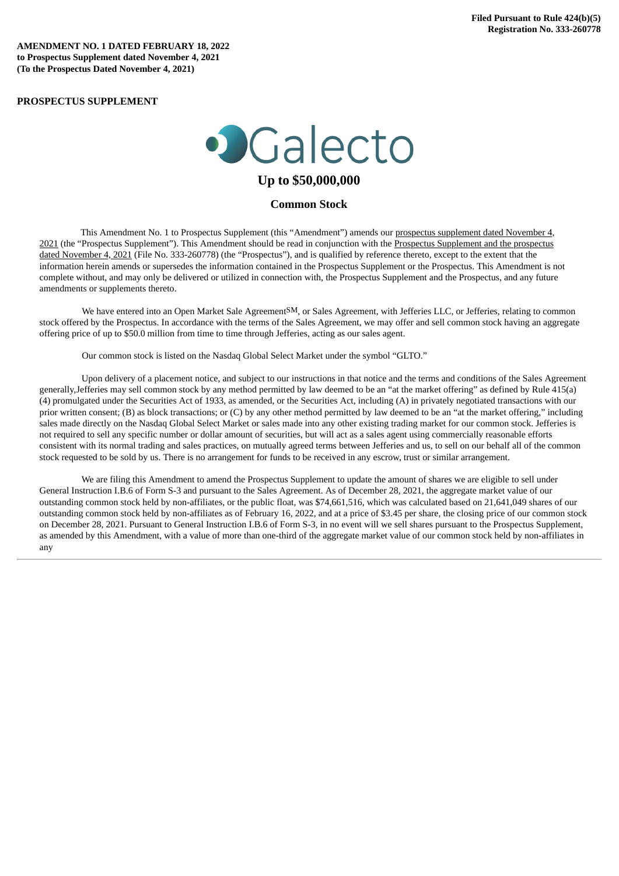**AMENDMENT NO. 1 DATED FEBRUARY 18, 2022 to Prospectus Supplement dated November 4, 2021 (To the Prospectus Dated November 4, 2021)**

### **PROSPECTUS SUPPLEMENT**

# · Calecto

## **Up to \$50,000,000**

#### **Common Stock**

This Amendment No. 1 to Prospectus Supplement (this ["Amendment"\)](http://www.sec.gov/Archives/edgar/data/0001800315/000156459021054556/glto-s3.htm) amends our prospectus supplement dated November 4, 2021 (the "Prospectus [Supplement"\).](http://www.sec.gov/Archives/edgar/data/0001800315/000156459021054556/glto-s3.htm) This Amendment should be read in conjunction with the Prospectus Supplement and the prospectus dated November 4, 2021 (File No. 333-260778) (the "Prospectus"), and is qualified by reference thereto, except to the extent that the information herein amends or supersedes the information contained in the Prospectus Supplement or the Prospectus. This Amendment is not complete without, and may only be delivered or utilized in connection with, the Prospectus Supplement and the Prospectus, and any future amendments or supplements thereto.

We have entered into an Open Market Sale AgreementSM, or Sales Agreement, with Jefferies LLC, or Jefferies, relating to common stock offered by the Prospectus. In accordance with the terms of the Sales Agreement, we may offer and sell common stock having an aggregate offering price of up to \$50.0 million from time to time through Jefferies, acting as our sales agent.

Our common stock is listed on the Nasdaq Global Select Market under the symbol "GLTO."

Upon delivery of a placement notice, and subject to our instructions in that notice and the terms and conditions of the Sales Agreement generally,Jefferies may sell common stock by any method permitted by law deemed to be an "at the market offering" as defined by Rule 415(a) (4) promulgated under the Securities Act of 1933, as amended, or the Securities Act, including (A) in privately negotiated transactions with our prior written consent; (B) as block transactions; or (C) by any other method permitted by law deemed to be an "at the market offering," including sales made directly on the Nasdaq Global Select Market or sales made into any other existing trading market for our common stock. Jefferies is not required to sell any specific number or dollar amount of securities, but will act as a sales agent using commercially reasonable efforts consistent with its normal trading and sales practices, on mutually agreed terms between Jefferies and us, to sell on our behalf all of the common stock requested to be sold by us. There is no arrangement for funds to be received in any escrow, trust or similar arrangement.

We are filing this Amendment to amend the Prospectus Supplement to update the amount of shares we are eligible to sell under General Instruction I.B.6 of Form S-3 and pursuant to the Sales Agreement. As of December 28, 2021, the aggregate market value of our outstanding common stock held by non-affiliates, or the public float, was \$74,661,516, which was calculated based on 21,641,049 shares of our outstanding common stock held by non-affiliates as of February 16, 2022, and at a price of \$3.45 per share, the closing price of our common stock on December 28, 2021. Pursuant to General Instruction I.B.6 of Form S-3, in no event will we sell shares pursuant to the Prospectus Supplement, as amended by this Amendment, with a value of more than one-third of the aggregate market value of our common stock held by non-affiliates in any